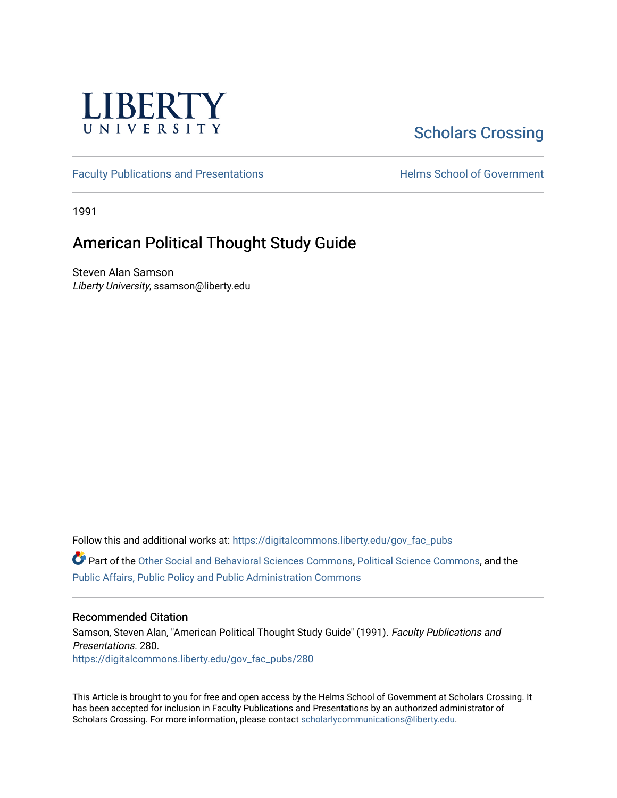

# [Scholars Crossing](https://digitalcommons.liberty.edu/)

[Faculty Publications and Presentations](https://digitalcommons.liberty.edu/gov_fac_pubs) **Exercise School of Government** 

1991

## American Political Thought Study Guide

Steven Alan Samson Liberty University, ssamson@liberty.edu

Follow this and additional works at: [https://digitalcommons.liberty.edu/gov\\_fac\\_pubs](https://digitalcommons.liberty.edu/gov_fac_pubs?utm_source=digitalcommons.liberty.edu%2Fgov_fac_pubs%2F280&utm_medium=PDF&utm_campaign=PDFCoverPages)

Part of the [Other Social and Behavioral Sciences Commons](http://network.bepress.com/hgg/discipline/437?utm_source=digitalcommons.liberty.edu%2Fgov_fac_pubs%2F280&utm_medium=PDF&utm_campaign=PDFCoverPages), [Political Science Commons](http://network.bepress.com/hgg/discipline/386?utm_source=digitalcommons.liberty.edu%2Fgov_fac_pubs%2F280&utm_medium=PDF&utm_campaign=PDFCoverPages), and the [Public Affairs, Public Policy and Public Administration Commons](http://network.bepress.com/hgg/discipline/393?utm_source=digitalcommons.liberty.edu%2Fgov_fac_pubs%2F280&utm_medium=PDF&utm_campaign=PDFCoverPages)

### Recommended Citation

Samson, Steven Alan, "American Political Thought Study Guide" (1991). Faculty Publications and Presentations. 280. [https://digitalcommons.liberty.edu/gov\\_fac\\_pubs/280](https://digitalcommons.liberty.edu/gov_fac_pubs/280?utm_source=digitalcommons.liberty.edu%2Fgov_fac_pubs%2F280&utm_medium=PDF&utm_campaign=PDFCoverPages)

This Article is brought to you for free and open access by the Helms School of Government at Scholars Crossing. It has been accepted for inclusion in Faculty Publications and Presentations by an authorized administrator of Scholars Crossing. For more information, please contact [scholarlycommunications@liberty.edu.](mailto:scholarlycommunications@liberty.edu)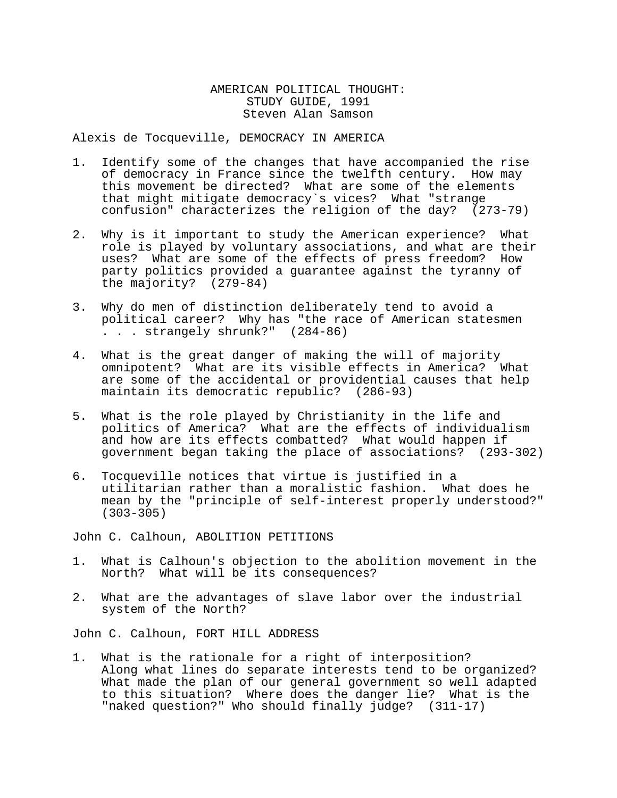#### AMERICAN POLITICAL THOUGHT: STUDY GUIDE, 1991 Steven Alan Samson

Alexis de Tocqueville, DEMOCRACY IN AMERICA

- 1. Identify some of the changes that have accompanied the rise of democracy in France since the twelfth century. How may this movement be directed? What are some of the elements that might mitigate democracy`s vices? What "strange confusion" characterizes the religion of the day? (273-79)
- 2. Why is it important to study the American experience? What role is played by voluntary associations, and what are their<br>uses? What are some of the effects of press freedom? How uses? What are some of the effects of press freedom? party politics provided a guarantee against the tyranny of the majority? (279-84)
- 3. Why do men of distinction deliberately tend to avoid a political career? Why has "the race of American statesmen . . . strangely shrunk?" (284-86)
- 4. What is the great danger of making the will of majority omnipotent? What are its visible effects in America? What are some of the accidental or providential causes that help maintain its democratic republic? (286-93)
- 5. What is the role played by Christianity in the life and<br>politics of America? What are the effects of individualism and how are its effects combatted? What would happen if government began taking the place of associations? (293-302)
- 6. Tocqueville notices that virtue is justified in a mean by the "principle of self-interest properly understood?"<br>(303-305)

John C. Calhoun, ABOLITION PETITIONS

- 1. What is Calhoun's objection to the abolition movement in the North? What will be its consequences?
- 2. What are the advantages of slave labor over the industrial system of the North?

John C. Calhoun, FORT HILL ADDRESS

1. What is the rationale for a right of interposition? Along what lines do separate interests tend to be organized? What made the plan of our general government so well adapted to this situation? Where does the danger lie? What is the "naked question?" Who should finally judge? (311-17)